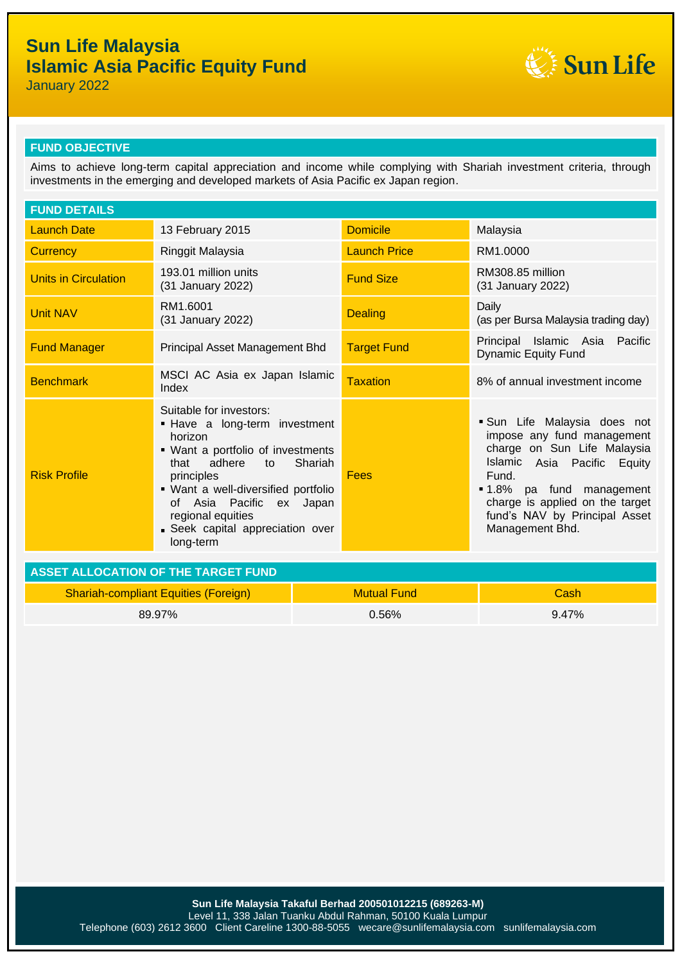## **Sun Life Malaysia Islamic Asia Pacific Equity Fund**



January 2022

#### **FUND OBJECTIVE**

Aims to achieve long-term capital appreciation and income while complying with Shariah investment criteria, through investments in the emerging and developed markets of Asia Pacific ex Japan region.

| <b>FUND DETAILS</b>                         |                                                                                                                                                                                                                                                                                                     |                    |                     |                                                                                                                                                                                                                                                          |  |
|---------------------------------------------|-----------------------------------------------------------------------------------------------------------------------------------------------------------------------------------------------------------------------------------------------------------------------------------------------------|--------------------|---------------------|----------------------------------------------------------------------------------------------------------------------------------------------------------------------------------------------------------------------------------------------------------|--|
| <b>Launch Date</b>                          | 13 February 2015                                                                                                                                                                                                                                                                                    |                    | <b>Domicile</b>     | Malaysia                                                                                                                                                                                                                                                 |  |
| <b>Currency</b>                             | Ringgit Malaysia                                                                                                                                                                                                                                                                                    |                    | <b>Launch Price</b> | RM1.0000                                                                                                                                                                                                                                                 |  |
| <b>Units in Circulation</b>                 | 193.01 million units<br>(31 January 2022)                                                                                                                                                                                                                                                           |                    | <b>Fund Size</b>    | RM308.85 million<br>(31 January 2022)                                                                                                                                                                                                                    |  |
| <b>Unit NAV</b>                             | RM1.6001<br>(31 January 2022)                                                                                                                                                                                                                                                                       |                    | <b>Dealing</b>      | Daily<br>(as per Bursa Malaysia trading day)                                                                                                                                                                                                             |  |
| <b>Fund Manager</b>                         | Principal Asset Management Bhd                                                                                                                                                                                                                                                                      |                    | <b>Target Fund</b>  | Principal Islamic Asia Pacific<br><b>Dynamic Equity Fund</b>                                                                                                                                                                                             |  |
| <b>Benchmark</b>                            | MSCI AC Asia ex Japan Islamic<br>Index                                                                                                                                                                                                                                                              |                    | <b>Taxation</b>     | 8% of annual investment income                                                                                                                                                                                                                           |  |
| <b>Risk Profile</b>                         | Suitable for investors:<br>- Have a long-term investment<br>horizon<br>• Want a portfolio of investments<br>Shariah<br>that<br>adhere<br>to<br>principles<br>· Want a well-diversified portfolio<br>of Asia Pacific<br>ex Japan<br>regional equities<br>Seek capital appreciation over<br>long-term |                    | Fees                | Sun Life Malaysia does not<br>impose any fund management<br>charge on Sun Life Malaysia<br>Islamic Asia Pacific Equity<br>Fund.<br><b>1.8%</b> pa fund management<br>charge is applied on the target<br>fund's NAV by Principal Asset<br>Management Bhd. |  |
| <b>ASSET ALLOCATION OF THE TARGET FUND</b>  |                                                                                                                                                                                                                                                                                                     |                    |                     |                                                                                                                                                                                                                                                          |  |
| <b>Shariah-compliant Equities (Foreign)</b> |                                                                                                                                                                                                                                                                                                     | <b>Mutual Fund</b> |                     | Cash                                                                                                                                                                                                                                                     |  |
| 89.97%                                      |                                                                                                                                                                                                                                                                                                     | 0.56%              |                     | 9.47%                                                                                                                                                                                                                                                    |  |
|                                             |                                                                                                                                                                                                                                                                                                     |                    |                     |                                                                                                                                                                                                                                                          |  |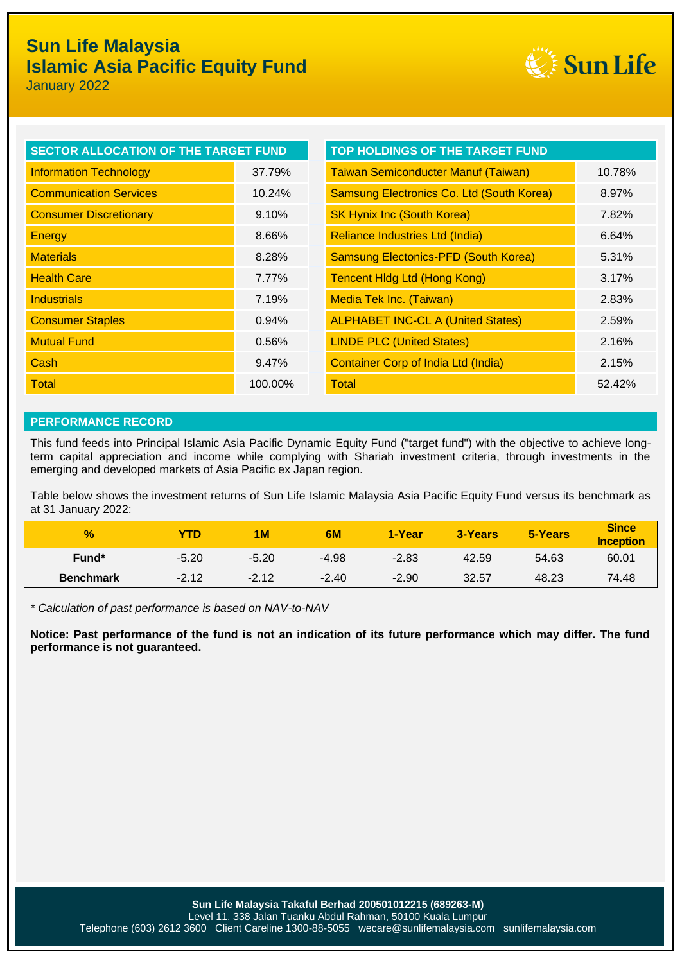# **Sun Life Malaysia Islamic Asia Pacific Equity Fund**



January 2022

| SECTOR ALLOCATION OF THE TARGET FUND |         | TOP HOLDINGS OF THE TARGET FUND             |        |  |
|--------------------------------------|---------|---------------------------------------------|--------|--|
| <b>Information Technology</b>        | 37.79%  | <b>Taiwan Semiconducter Manuf (Taiwan)</b>  | 10.78% |  |
| <b>Communication Services</b>        | 10.24%  | Samsung Electronics Co. Ltd (South Korea)   | 8.97%  |  |
| <b>Consumer Discretionary</b>        | 9.10%   | <b>SK Hynix Inc (South Korea)</b>           | 7.82%  |  |
| <b>Energy</b>                        | 8.66%   | Reliance Industries Ltd (India)             | 6.64%  |  |
| <b>Materials</b>                     | 8.28%   | <b>Samsung Electonics-PFD (South Korea)</b> | 5.31%  |  |
| <b>Health Care</b>                   | 7.77%   | <b>Tencent Hidg Ltd (Hong Kong)</b>         | 3.17%  |  |
| <b>Industrials</b>                   | 7.19%   | <b>Media Tek Inc. (Taiwan)</b>              | 2.83%  |  |
| <b>Consumer Staples</b>              | 0.94%   | <b>ALPHABET INC-CL A (United States)</b>    | 2.59%  |  |
| <b>Mutual Fund</b>                   | 0.56%   | <b>LINDE PLC (United States)</b>            | 2.16%  |  |
| Cash                                 | 9.47%   | <b>Container Corp of India Ltd (India)</b>  | 2.15%  |  |
| Total                                | 100.00% | Total                                       | 52.42% |  |

### **PERFORMANCE RECORD**

This fund feeds into Principal Islamic Asia Pacific Dynamic Equity Fund ("target fund") with the objective to achieve longterm capital appreciation and income while complying with Shariah investment criteria, through investments in the emerging and developed markets of Asia Pacific ex Japan region.

Table below shows the investment returns of Sun Life Islamic Malaysia Asia Pacific Equity Fund versus its benchmark as at 31 January 2022:

| $\frac{9}{6}$     | YTD     | 1M      | 6M      | 1-Year  | 3-Years | 5-Years | <b>Since</b><br><b>Inception</b> |
|-------------------|---------|---------|---------|---------|---------|---------|----------------------------------|
| Fund <sup>*</sup> | $-5.20$ | $-5.20$ | $-4.98$ | $-2.83$ | 42.59   | 54.63   | 60.01                            |
| <b>Benchmark</b>  | $-2.12$ | $-2.12$ | $-2.40$ | $-2.90$ | 32.57   | 48.23   | 74.48                            |

*\* Calculation of past performance is based on NAV-to-NAV*

**Notice: Past performance of the fund is not an indication of its future performance which may differ. The fund performance is not guaranteed.**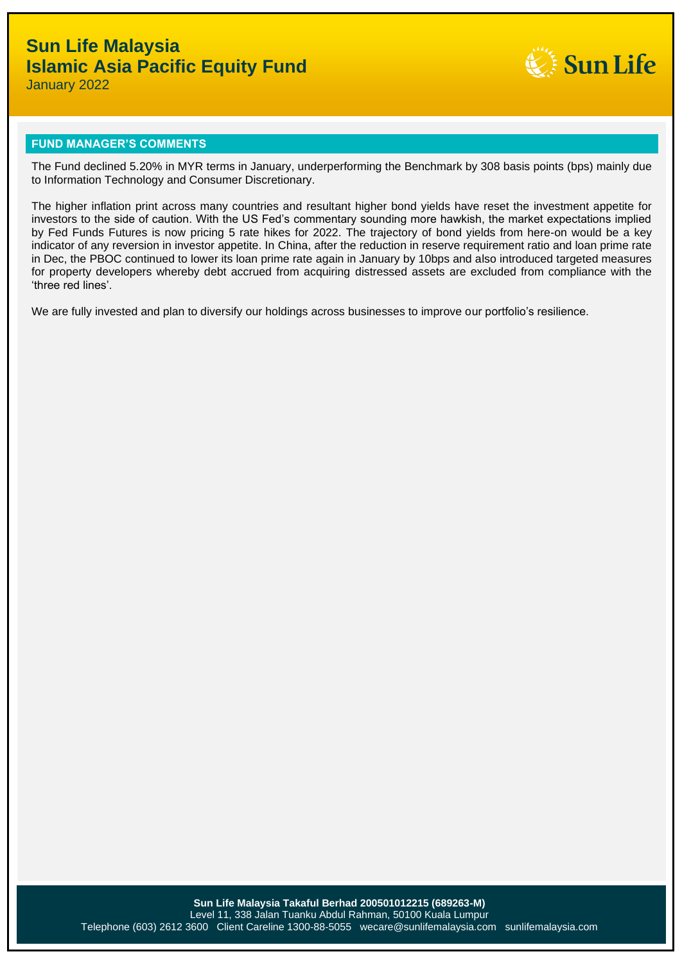

January 2022

#### **FUND MANAGER'S COMMENTS**

The Fund declined 5.20% in MYR terms in January, underperforming the Benchmark by 308 basis points (bps) mainly due to Information Technology and Consumer Discretionary.

The higher inflation print across many countries and resultant higher bond yields have reset the investment appetite for investors to the side of caution. With the US Fed's commentary sounding more hawkish, the market expectations implied by Fed Funds Futures is now pricing 5 rate hikes for 2022. The trajectory of bond yields from here-on would be a key indicator of any reversion in investor appetite. In China, after the reduction in reserve requirement ratio and loan prime rate in Dec, the PBOC continued to lower its loan prime rate again in January by 10bps and also introduced targeted measures for property developers whereby debt accrued from acquiring distressed assets are excluded from compliance with the 'three red lines'.

We are fully invested and plan to diversify our holdings across businesses to improve our portfolio's resilience.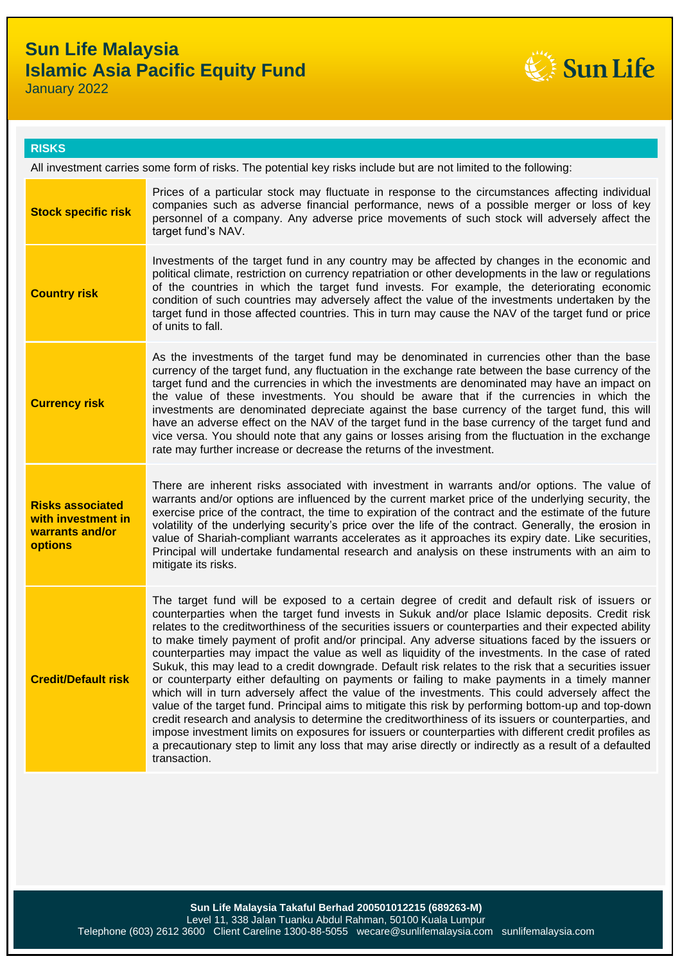

January 2022

### **RISKS**

All investment carries some form of risks. The potential key risks include but are not limited to the following:

| <b>Stock specific risk</b>                                                         | Prices of a particular stock may fluctuate in response to the circumstances affecting individual<br>companies such as adverse financial performance, news of a possible merger or loss of key<br>personnel of a company. Any adverse price movements of such stock will adversely affect the<br>target fund's NAV.                                                                                                                                                                                                                                                                                                                                                                                                                                                                                                                                                                                                                                                                                                                                                                                                                                                                                                                                                                   |
|------------------------------------------------------------------------------------|--------------------------------------------------------------------------------------------------------------------------------------------------------------------------------------------------------------------------------------------------------------------------------------------------------------------------------------------------------------------------------------------------------------------------------------------------------------------------------------------------------------------------------------------------------------------------------------------------------------------------------------------------------------------------------------------------------------------------------------------------------------------------------------------------------------------------------------------------------------------------------------------------------------------------------------------------------------------------------------------------------------------------------------------------------------------------------------------------------------------------------------------------------------------------------------------------------------------------------------------------------------------------------------|
| <b>Country risk</b>                                                                | Investments of the target fund in any country may be affected by changes in the economic and<br>political climate, restriction on currency repatriation or other developments in the law or regulations<br>of the countries in which the target fund invests. For example, the deteriorating economic<br>condition of such countries may adversely affect the value of the investments undertaken by the<br>target fund in those affected countries. This in turn may cause the NAV of the target fund or price<br>of units to fall.                                                                                                                                                                                                                                                                                                                                                                                                                                                                                                                                                                                                                                                                                                                                                 |
| <b>Currency risk</b>                                                               | As the investments of the target fund may be denominated in currencies other than the base<br>currency of the target fund, any fluctuation in the exchange rate between the base currency of the<br>target fund and the currencies in which the investments are denominated may have an impact on<br>the value of these investments. You should be aware that if the currencies in which the<br>investments are denominated depreciate against the base currency of the target fund, this will<br>have an adverse effect on the NAV of the target fund in the base currency of the target fund and<br>vice versa. You should note that any gains or losses arising from the fluctuation in the exchange<br>rate may further increase or decrease the returns of the investment.                                                                                                                                                                                                                                                                                                                                                                                                                                                                                                      |
| <b>Risks associated</b><br>with investment in<br>warrants and/or<br><b>options</b> | There are inherent risks associated with investment in warrants and/or options. The value of<br>warrants and/or options are influenced by the current market price of the underlying security, the<br>exercise price of the contract, the time to expiration of the contract and the estimate of the future<br>volatility of the underlying security's price over the life of the contract. Generally, the erosion in<br>value of Shariah-compliant warrants accelerates as it approaches its expiry date. Like securities,<br>Principal will undertake fundamental research and analysis on these instruments with an aim to<br>mitigate its risks.                                                                                                                                                                                                                                                                                                                                                                                                                                                                                                                                                                                                                                 |
| <b>Credit/Default risk</b>                                                         | The target fund will be exposed to a certain degree of credit and default risk of issuers or<br>counterparties when the target fund invests in Sukuk and/or place Islamic deposits. Credit risk<br>relates to the creditworthiness of the securities issuers or counterparties and their expected ability<br>to make timely payment of profit and/or principal. Any adverse situations faced by the issuers or<br>counterparties may impact the value as well as liquidity of the investments. In the case of rated<br>Sukuk, this may lead to a credit downgrade. Default risk relates to the risk that a securities issuer<br>or counterparty either defaulting on payments or failing to make payments in a timely manner<br>which will in turn adversely affect the value of the investments. This could adversely affect the<br>value of the target fund. Principal aims to mitigate this risk by performing bottom-up and top-down<br>credit research and analysis to determine the creditworthiness of its issuers or counterparties, and<br>impose investment limits on exposures for issuers or counterparties with different credit profiles as<br>a precautionary step to limit any loss that may arise directly or indirectly as a result of a defaulted<br>transaction. |